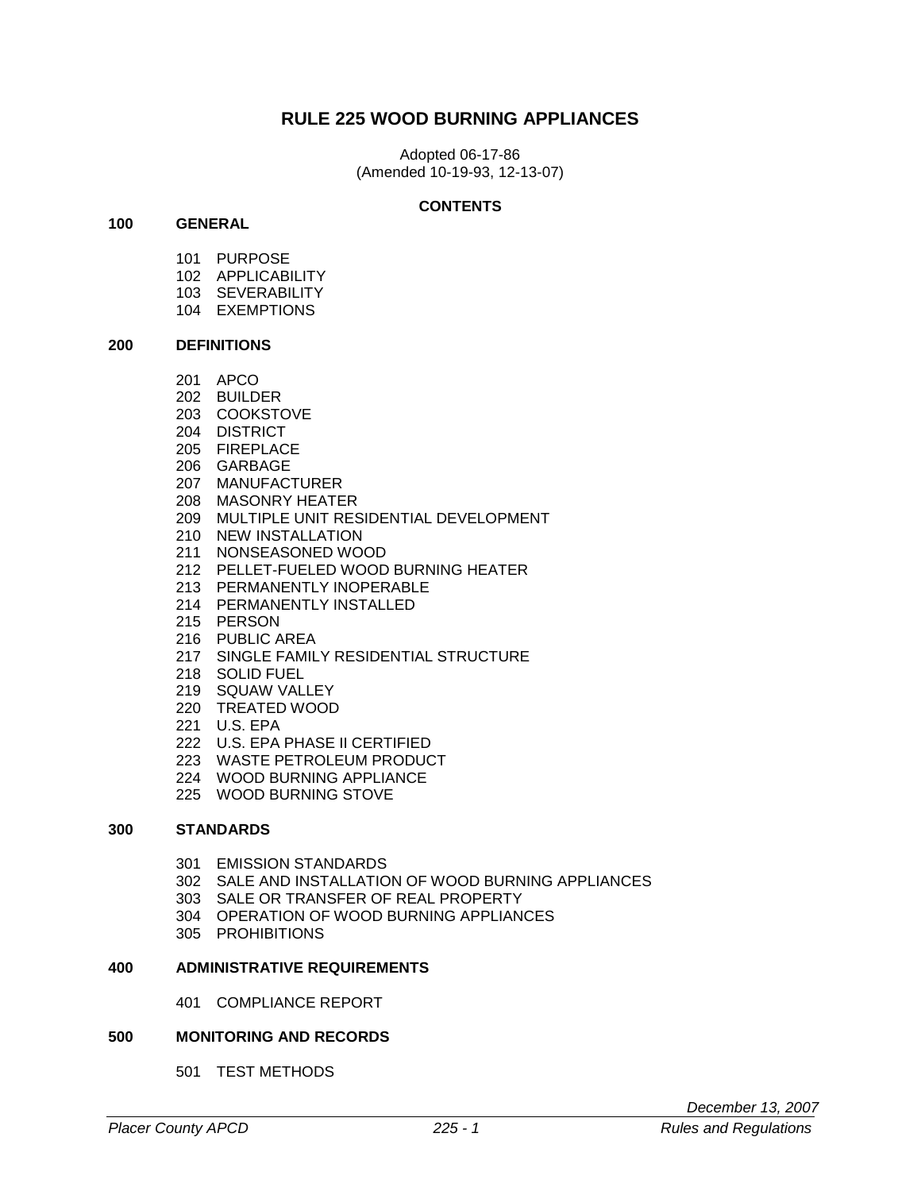# **RULE 225 WOOD BURNING APPLIANCES**

Adopted 06-17-86 (Amended 10-19-93, 12-13-07)

### **CONTENTS**

# **GENERAL**

- PURPOSE
- APPLICABILITY
- SEVERABILITY
- EXEMPTIONS

#### **DEFINITIONS**

- APCO
- BUILDER
- COOKSTOVE
- DISTRICT
- FIREPLACE
- GARBAGE
- MANUFACTURER
- MASONRY HEATER
- MULTIPLE UNIT RESIDENTIAL DEVELOPMENT
- NEW INSTALLATION
- NONSEASONED WOOD
- PELLET-FUELED WOOD BURNING HEATER
- PERMANENTLY INOPERABLE
- PERMANENTLY INSTALLED
- PERSON
- PUBLIC AREA
- SINGLE FAMILY RESIDENTIAL STRUCTURE
- SOLID FUEL
- SQUAW VALLEY
- TREATED WOOD
- U.S. EPA
- U.S. EPA PHASE II CERTIFIED
- WASTE PETROLEUM PRODUCT
- WOOD BURNING APPLIANCE
- WOOD BURNING STOVE

### **300 STANDARDS**

- EMISSION STANDARDS
- SALE AND INSTALLATION OF WOOD BURNING APPLIANCES
- SALE OR TRANSFER OF REAL PROPERTY
- OPERATION OF WOOD BURNING APPLIANCES
- PROHIBITIONS

# **ADMINISTRATIVE REQUIREMENTS**

COMPLIANCE REPORT

## **MONITORING AND RECORDS**

TEST METHODS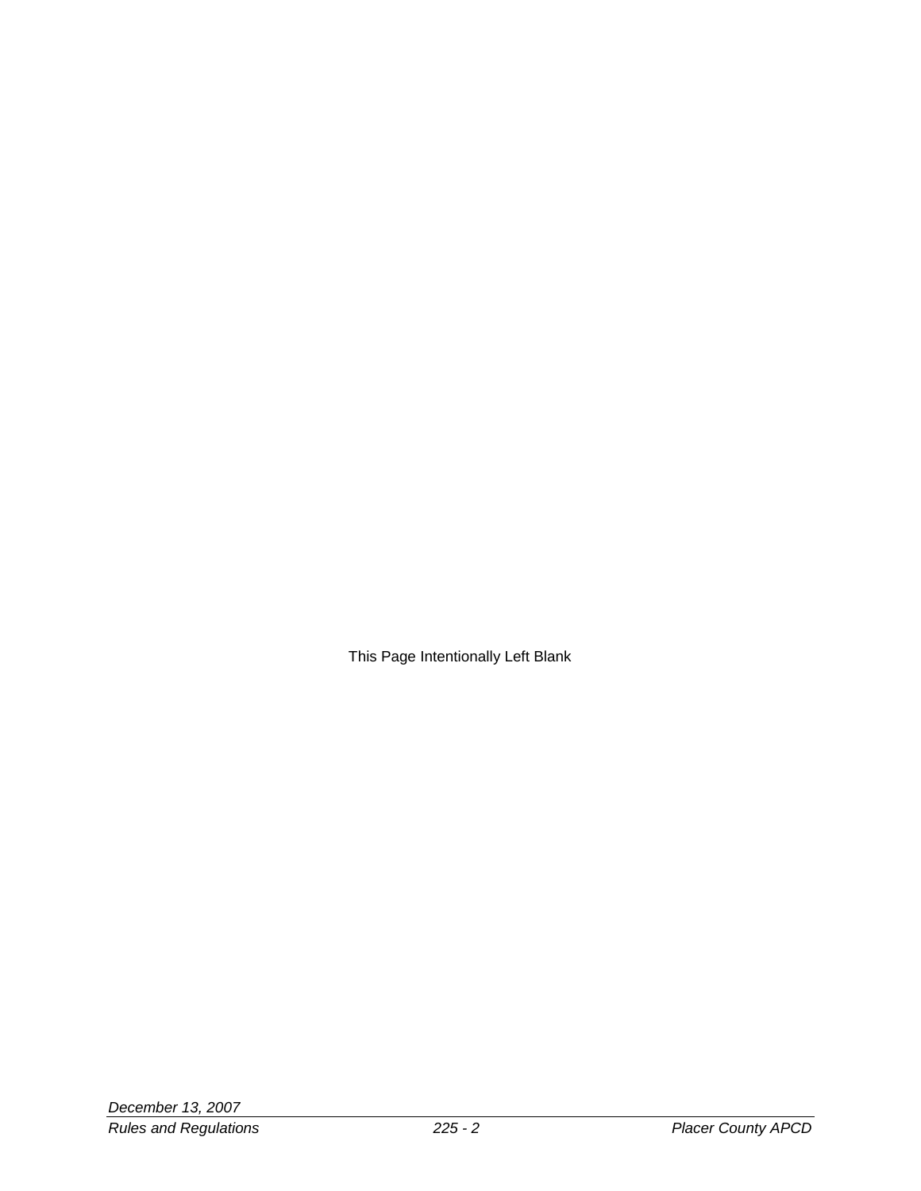This Page Intentionally Left Blank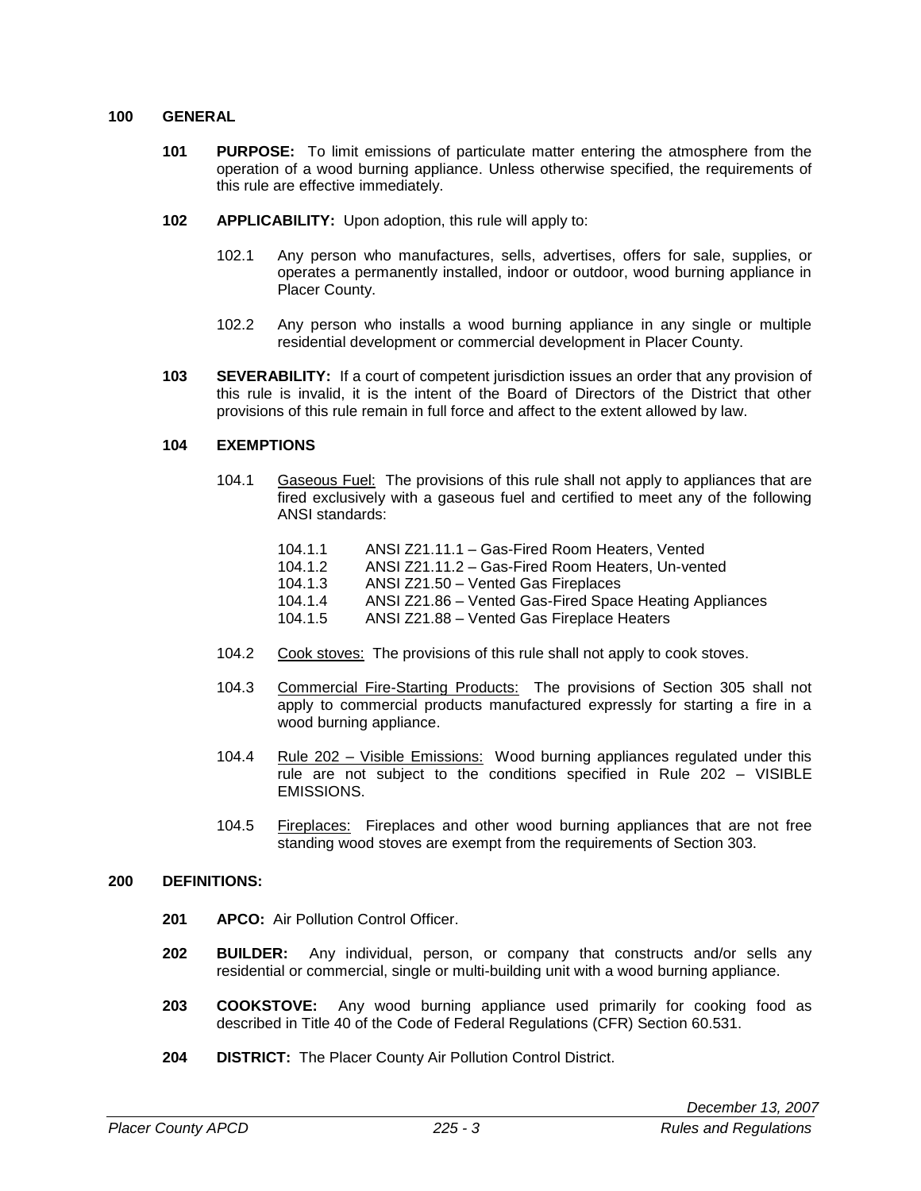# **100 GENERAL**

- **101 PURPOSE:** To limit emissions of particulate matter entering the atmosphere from the operation of a wood burning appliance. Unless otherwise specified, the requirements of this rule are effective immediately.
- **102 APPLICABILITY:** Upon adoption, this rule will apply to:
	- 102.1 Any person who manufactures, sells, advertises, offers for sale, supplies, or operates a permanently installed, indoor or outdoor, wood burning appliance in Placer County.
	- 102.2 Any person who installs a wood burning appliance in any single or multiple residential development or commercial development in Placer County.
- **103 SEVERABILITY:** If a court of competent jurisdiction issues an order that any provision of this rule is invalid, it is the intent of the Board of Directors of the District that other provisions of this rule remain in full force and affect to the extent allowed by law.

## **104 EXEMPTIONS**

- 104.1 Gaseous Fuel: The provisions of this rule shall not apply to appliances that are fired exclusively with a gaseous fuel and certified to meet any of the following ANSI standards:
	- 104.1.1 ANSI Z21.11.1 Gas-Fired Room Heaters, Vented
	- 104.1.2 ANSI Z21.11.2 Gas-Fired Room Heaters, Un-vented
	- 104.1.3 ANSI Z21.50 Vented Gas Fireplaces
	- 104.1.4 ANSI Z21.86 Vented Gas-Fired Space Heating Appliances
	- 104.1.5 ANSI Z21.88 Vented Gas Fireplace Heaters
- 104.2 Cook stoves: The provisions of this rule shall not apply to cook stoves.
- 104.3 Commercial Fire-Starting Products: The provisions of Section 305 shall not apply to commercial products manufactured expressly for starting a fire in a wood burning appliance.
- 104.4 Rule 202 Visible Emissions: Wood burning appliances regulated under this rule are not subject to the conditions specified in Rule 202 – VISIBLE **EMISSIONS**
- 104.5 Fireplaces: Fireplaces and other wood burning appliances that are not free standing wood stoves are exempt from the requirements of Section 303.

#### **200 DEFINITIONS:**

- **201 APCO:** Air Pollution Control Officer.
- **202 BUILDER:** Any individual, person, or company that constructs and/or sells any residential or commercial, single or multi-building unit with a wood burning appliance.
- **203 COOKSTOVE:** Any wood burning appliance used primarily for cooking food as described in Title 40 of the Code of Federal Regulations (CFR) Section 60.531.
- **204 DISTRICT:** The Placer County Air Pollution Control District.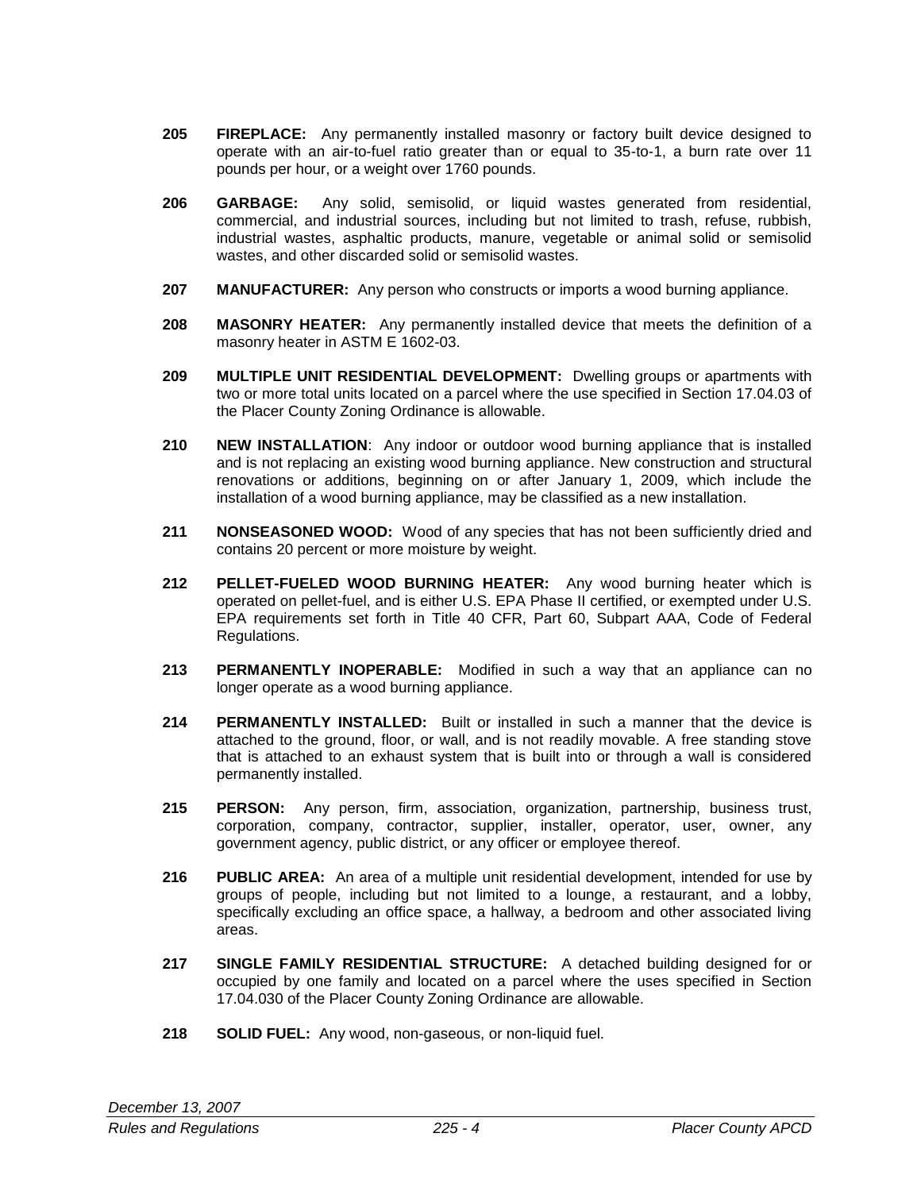- **205 FIREPLACE:** Any permanently installed masonry or factory built device designed to operate with an air-to-fuel ratio greater than or equal to 35-to-1, a burn rate over 11 pounds per hour, or a weight over 1760 pounds.
- **206 GARBAGE:** Any solid, semisolid, or liquid wastes generated from residential, commercial, and industrial sources, including but not limited to trash, refuse, rubbish, industrial wastes, asphaltic products, manure, vegetable or animal solid or semisolid wastes, and other discarded solid or semisolid wastes.
- **207 MANUFACTURER:** Any person who constructs or imports a wood burning appliance.
- **208 MASONRY HEATER:** Any permanently installed device that meets the definition of a masonry heater in ASTM E 1602-03.
- **209 MULTIPLE UNIT RESIDENTIAL DEVELOPMENT:** Dwelling groups or apartments with two or more total units located on a parcel where the use specified in Section 17.04.03 of the Placer County Zoning Ordinance is allowable.
- **210 NEW INSTALLATION**: Any indoor or outdoor wood burning appliance that is installed and is not replacing an existing wood burning appliance. New construction and structural renovations or additions, beginning on or after January 1, 2009, which include the installation of a wood burning appliance, may be classified as a new installation.
- **211 NONSEASONED WOOD:** Wood of any species that has not been sufficiently dried and contains 20 percent or more moisture by weight.
- **212 PELLET-FUELED WOOD BURNING HEATER:** Any wood burning heater which is operated on pellet-fuel, and is either U.S. EPA Phase II certified, or exempted under U.S. EPA requirements set forth in Title 40 CFR, Part 60, Subpart AAA, Code of Federal Regulations.
- **213 PERMANENTLY INOPERABLE:** Modified in such a way that an appliance can no longer operate as a wood burning appliance.
- **214 PERMANENTLY INSTALLED:** Built or installed in such a manner that the device is attached to the ground, floor, or wall, and is not readily movable. A free standing stove that is attached to an exhaust system that is built into or through a wall is considered permanently installed.
- **215 PERSON:** Any person, firm, association, organization, partnership, business trust, corporation, company, contractor, supplier, installer, operator, user, owner, any government agency, public district, or any officer or employee thereof.
- **216 PUBLIC AREA:** An area of a multiple unit residential development, intended for use by groups of people, including but not limited to a lounge, a restaurant, and a lobby, specifically excluding an office space, a hallway, a bedroom and other associated living areas.
- **217 SINGLE FAMILY RESIDENTIAL STRUCTURE:** A detached building designed for or occupied by one family and located on a parcel where the uses specified in Section 17.04.030 of the Placer County Zoning Ordinance are allowable.
- **218 SOLID FUEL:** Any wood, non-gaseous, or non-liquid fuel.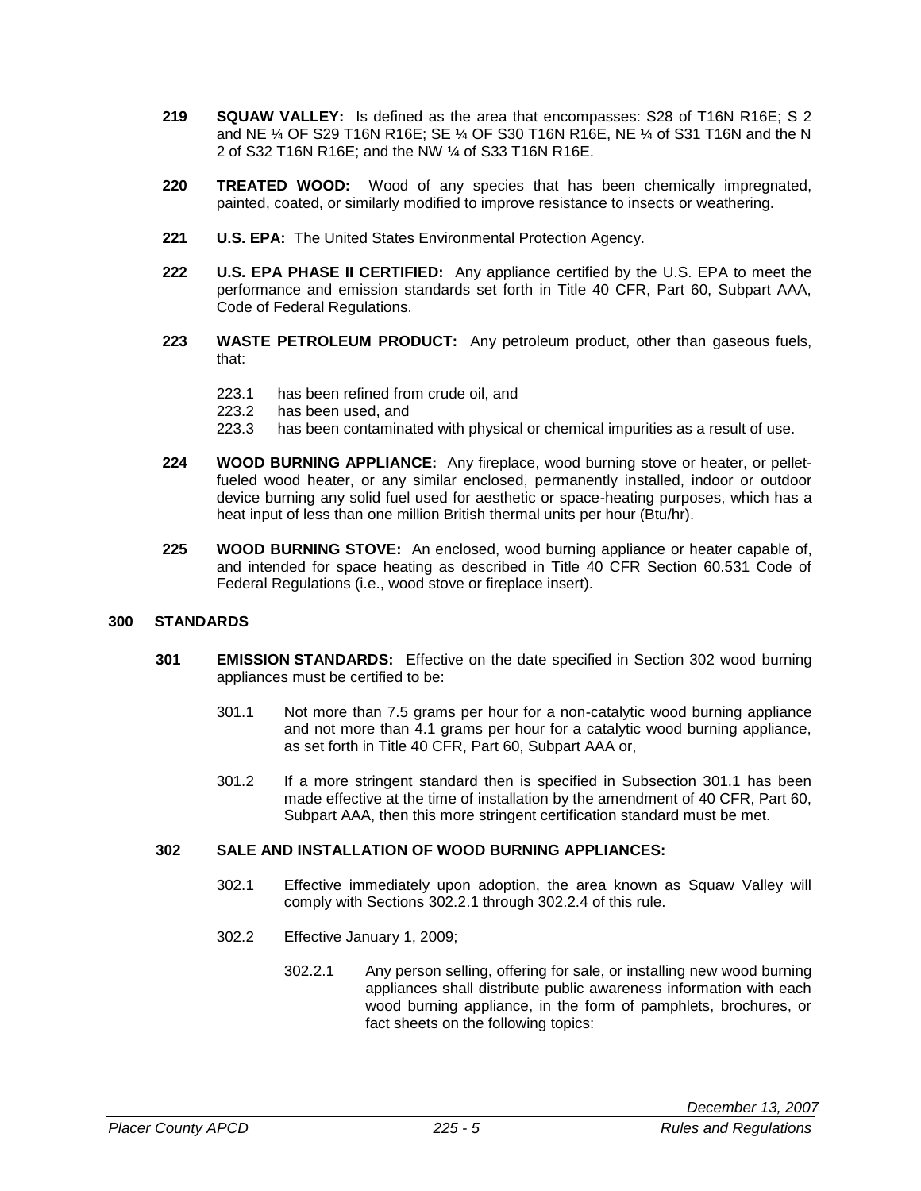- **219 SQUAW VALLEY:** Is defined as the area that encompasses: S28 of T16N R16E; S 2 and NE ¼ OF S29 T16N R16E; SE ¼ OF S30 T16N R16E, NE ¼ of S31 T16N and the N 2 of S32 T16N R16E; and the NW ¼ of S33 T16N R16E.
- **220 TREATED WOOD:** Wood of any species that has been chemically impregnated, painted, coated, or similarly modified to improve resistance to insects or weathering.
- **221 U.S. EPA:** The United States Environmental Protection Agency.
- **222 U.S. EPA PHASE II CERTIFIED:** Any appliance certified by the U.S. EPA to meet the performance and emission standards set forth in Title 40 CFR, Part 60, Subpart AAA, Code of Federal Regulations.
- **223 WASTE PETROLEUM PRODUCT:** Any petroleum product, other than gaseous fuels, that:
	- 223.1 has been refined from crude oil, and
	- 223.2 has been used, and
	- 223.3 has been contaminated with physical or chemical impurities as a result of use.
- **224 WOOD BURNING APPLIANCE:** Any fireplace, wood burning stove or heater, or pelletfueled wood heater, or any similar enclosed, permanently installed, indoor or outdoor device burning any solid fuel used for aesthetic or space-heating purposes, which has a heat input of less than one million British thermal units per hour (Btu/hr).
- **225 WOOD BURNING STOVE:** An enclosed, wood burning appliance or heater capable of, and intended for space heating as described in Title 40 CFR Section 60.531 Code of Federal Regulations (i.e., wood stove or fireplace insert).

# **300 STANDARDS**

- **301 EMISSION STANDARDS:** Effective on the date specified in Section 302 wood burning appliances must be certified to be:
	- 301.1 Not more than 7.5 grams per hour for a non-catalytic wood burning appliance and not more than 4.1 grams per hour for a catalytic wood burning appliance, as set forth in Title 40 CFR, Part 60, Subpart AAA or,
	- 301.2 If a more stringent standard then is specified in Subsection 301.1 has been made effective at the time of installation by the amendment of 40 CFR, Part 60, Subpart AAA, then this more stringent certification standard must be met.

### **302 SALE AND INSTALLATION OF WOOD BURNING APPLIANCES:**

- 302.1 Effective immediately upon adoption, the area known as Squaw Valley will comply with Sections 302.2.1 through 302.2.4 of this rule.
- 302.2 Effective January 1, 2009;
	- 302.2.1 Any person selling, offering for sale, or installing new wood burning appliances shall distribute public awareness information with each wood burning appliance, in the form of pamphlets, brochures, or fact sheets on the following topics: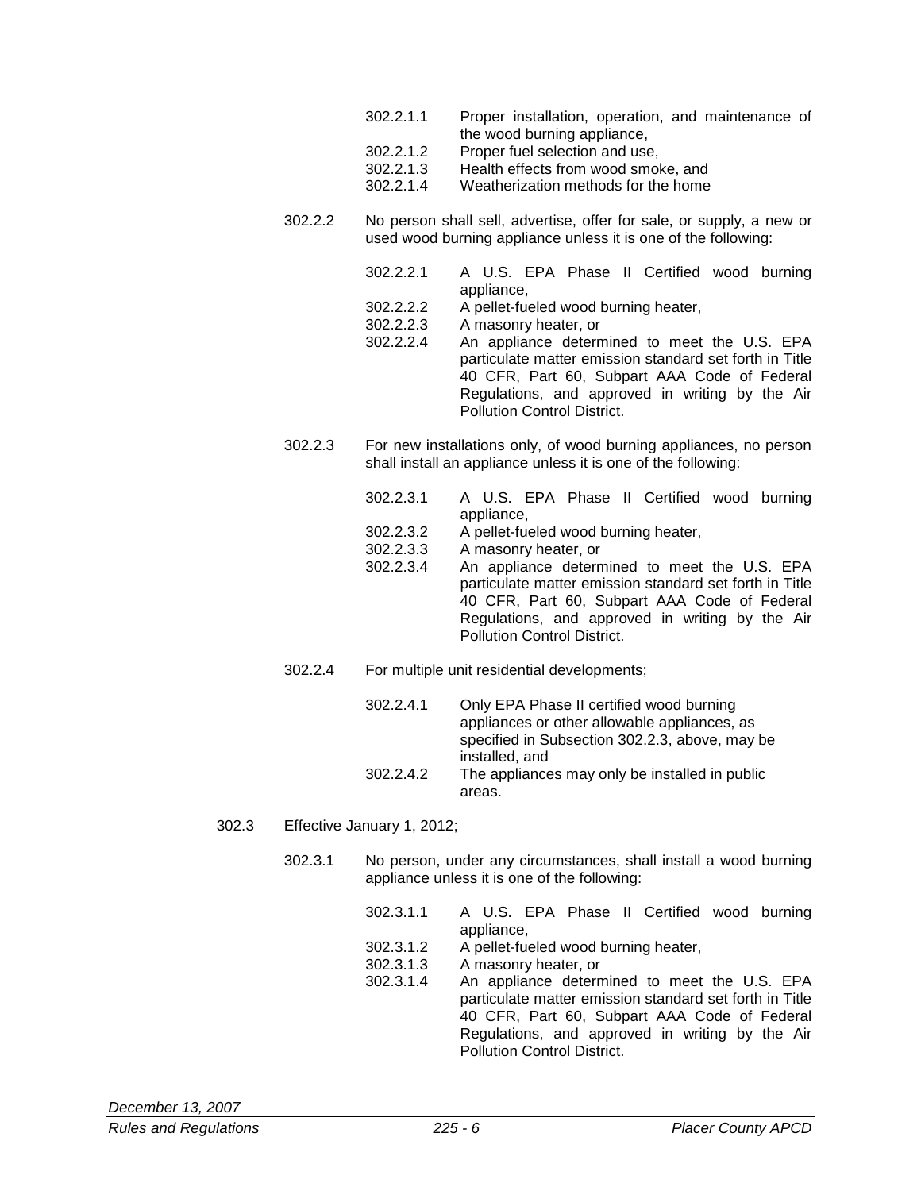- 302.2.1.1 Proper installation, operation, and maintenance of the wood burning appliance, 302.2.1.2 Proper fuel selection and use, 302.2.1.3 Health effects from wood smoke, and
- 302.2.1.4 Weatherization methods for the home
- 302.2.2 No person shall sell, advertise, offer for sale, or supply, a new or used wood burning appliance unless it is one of the following:
	- 302.2.2.1 A U.S. EPA Phase II Certified wood burning appliance,
	- 302.2.2.2 A pellet-fueled wood burning heater,<br>302.2.2.3 A masonry heater, or
		- A masonry heater, or
	- 302.2.2.4 An appliance determined to meet the U.S. EPA particulate matter emission standard set forth in Title 40 CFR, Part 60, Subpart AAA Code of Federal Regulations, and approved in writing by the Air Pollution Control District.
- 302.2.3 For new installations only, of wood burning appliances, no person shall install an appliance unless it is one of the following:
	- 302.2.3.1 A U.S. EPA Phase II Certified wood burning appliance,
	- 302.2.3.2 A pellet-fueled wood burning heater,
	- 302.2.3.3 A masonry heater, or
	- 302.2.3.4 An appliance determined to meet the U.S. EPA particulate matter emission standard set forth in Title 40 CFR, Part 60, Subpart AAA Code of Federal Regulations, and approved in writing by the Air Pollution Control District.
- 302.2.4 For multiple unit residential developments;
	- 302.2.4.1 Only EPA Phase II certified wood burning appliances or other allowable appliances, as specified in Subsection 302.2.3, above, may be installed, and 302.2.4.2 The appliances may only be installed in public areas.
- 302.3 Effective January 1, 2012;
	- 302.3.1 No person, under any circumstances, shall install a wood burning appliance unless it is one of the following:
		- 302.3.1.1 A U.S. EPA Phase II Certified wood burning appliance,
		- 302.3.1.2 A pellet-fueled wood burning heater,
		- 302.3.1.3 A masonry heater, or
		- 302.3.1.4 An appliance determined to meet the U.S. EPA particulate matter emission standard set forth in Title 40 CFR, Part 60, Subpart AAA Code of Federal Regulations, and approved in writing by the Air Pollution Control District.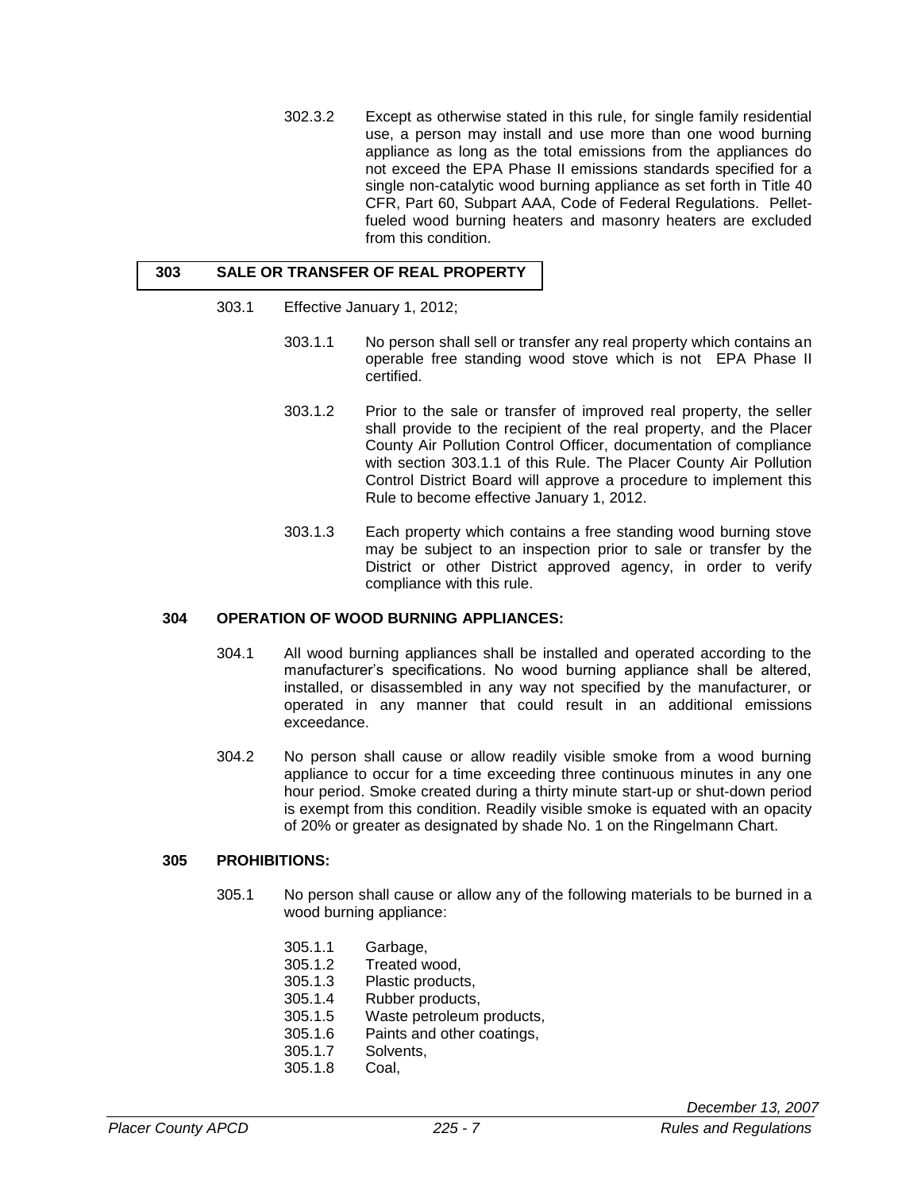302.3.2 Except as otherwise stated in this rule, for single family residential use, a person may install and use more than one wood burning appliance as long as the total emissions from the appliances do not exceed the EPA Phase II emissions standards specified for a single non-catalytic wood burning appliance as set forth in Title 40 CFR, Part 60, Subpart AAA, Code of Federal Regulations. Pelletfueled wood burning heaters and masonry heaters are excluded from this condition.

# **303 SALE OR TRANSFER OF REAL PROPERTY**

- 303.1 Effective January 1, 2012;
	- 303.1.1 No person shall sell or transfer any real property which contains an operable free standing wood stove which is not EPA Phase II certified.
	- 303.1.2 Prior to the sale or transfer of improved real property, the seller shall provide to the recipient of the real property, and the Placer County Air Pollution Control Officer, documentation of compliance with section 303.1.1 of this Rule. The Placer County Air Pollution Control District Board will approve a procedure to implement this Rule to become effective January 1, 2012.
	- 303.1.3 Each property which contains a free standing wood burning stove may be subject to an inspection prior to sale or transfer by the District or other District approved agency, in order to verify compliance with this rule.

### **304 OPERATION OF WOOD BURNING APPLIANCES:**

- 304.1 All wood burning appliances shall be installed and operated according to the manufacturer's specifications. No wood burning appliance shall be altered, installed, or disassembled in any way not specified by the manufacturer, or operated in any manner that could result in an additional emissions exceedance.
- 304.2 No person shall cause or allow readily visible smoke from a wood burning appliance to occur for a time exceeding three continuous minutes in any one hour period. Smoke created during a thirty minute start-up or shut-down period is exempt from this condition. Readily visible smoke is equated with an opacity of 20% or greater as designated by shade No. 1 on the Ringelmann Chart.

# **305 PROHIBITIONS:**

- 305.1 No person shall cause or allow any of the following materials to be burned in a wood burning appliance:
	- 305.1.1 Garbage,
	- 305.1.2 Treated wood,
	- 305.1.3 Plastic products,
	- 305.1.4 Rubber products,
	- 305.1.5 Waste petroleum products,
	- 305.1.6 Paints and other coatings,<br>305.1.7 Solvents.
	- Solvents.
	- 305.1.8 Coal,